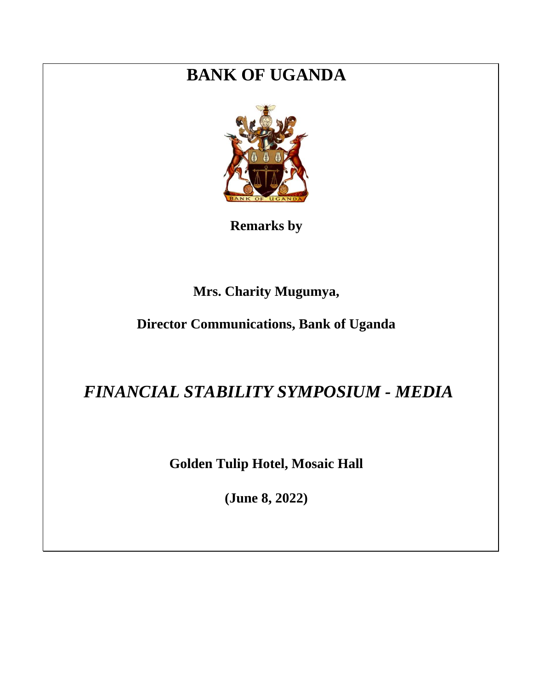## **BANK OF UGANDA**



**Remarks by** 

## **Mrs. Charity Mugumya,**

## **Director Communications, Bank of Uganda**

## *FINANCIAL STABILITY SYMPOSIUM - MEDIA*

**Golden Tulip Hotel, Mosaic Hall**

**(June 8, 2022)**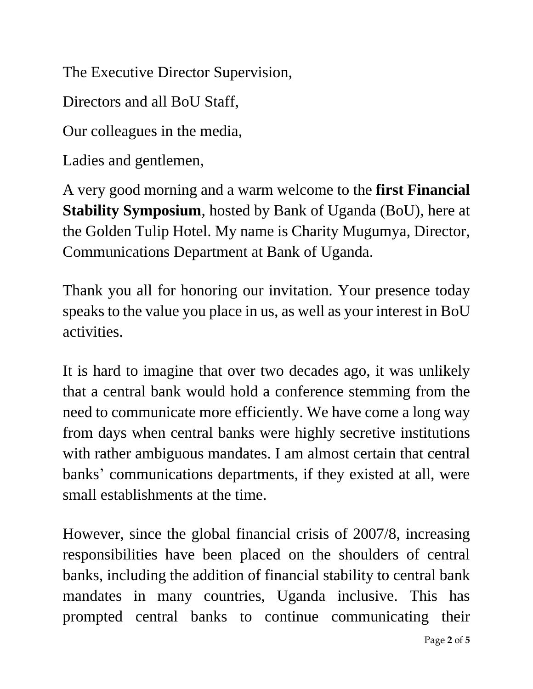The Executive Director Supervision,

Directors and all BoU Staff,

Our colleagues in the media,

Ladies and gentlemen,

A very good morning and a warm welcome to the **first Financial Stability Symposium**, hosted by Bank of Uganda (BoU), here at the Golden Tulip Hotel. My name is Charity Mugumya, Director, Communications Department at Bank of Uganda.

Thank you all for honoring our invitation. Your presence today speaks to the value you place in us, as well as your interest in BoU activities.

It is hard to imagine that over two decades ago, it was unlikely that a central bank would hold a conference stemming from the need to communicate more efficiently. We have come a long way from days when central banks were highly secretive institutions with rather ambiguous mandates. I am almost certain that central banks' communications departments, if they existed at all, were small establishments at the time.

However, since the global financial crisis of 2007/8, increasing responsibilities have been placed on the shoulders of central banks, including the addition of financial stability to central bank mandates in many countries, Uganda inclusive. This has prompted central banks to continue communicating their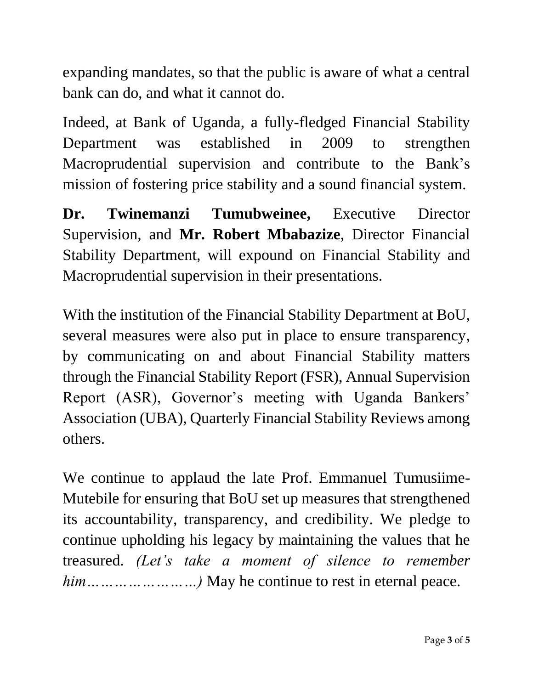expanding mandates, so that the public is aware of what a central bank can do, and what it cannot do.

Indeed, at Bank of Uganda, a fully-fledged Financial Stability Department was established in 2009 to strengthen Macroprudential supervision and contribute to the Bank's mission of fostering price stability and a sound financial system.

**Dr. Twinemanzi Tumubweinee,** Executive Director Supervision, and **Mr. Robert Mbabazize**, Director Financial Stability Department, will expound on Financial Stability and Macroprudential supervision in their presentations.

With the institution of the Financial Stability Department at BoU, several measures were also put in place to ensure transparency, by communicating on and about Financial Stability matters through the Financial Stability Report (FSR), Annual Supervision Report (ASR), Governor's meeting with Uganda Bankers' Association (UBA), Quarterly Financial Stability Reviews among others.

We continue to applaud the late Prof. Emmanuel Tumusiime-Mutebile for ensuring that BoU set up measures that strengthened its accountability, transparency, and credibility. We pledge to continue upholding his legacy by maintaining the values that he treasured. *(Let's take a moment of silence to remember him……………………)* May he continue to rest in eternal peace.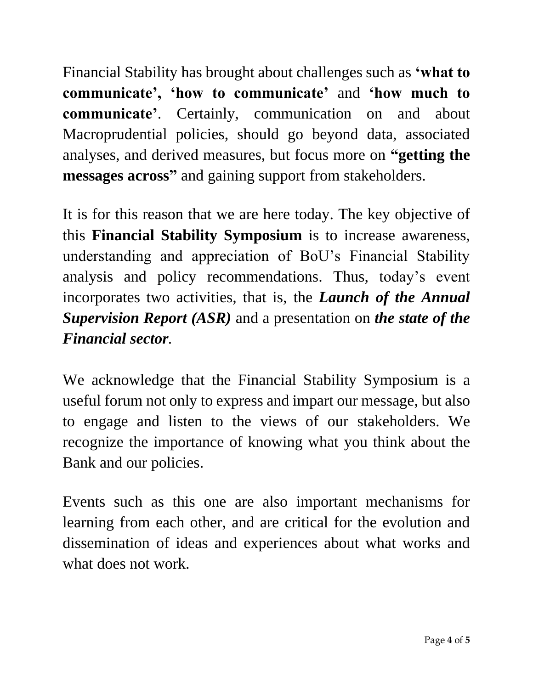Financial Stability has brought about challenges such as **'what to communicate', 'how to communicate'** and **'how much to communicate'**. Certainly, communication on and about Macroprudential policies, should go beyond data, associated analyses, and derived measures, but focus more on **"getting the messages across"** and gaining support from stakeholders.

It is for this reason that we are here today. The key objective of this **Financial Stability Symposium** is to increase awareness, understanding and appreciation of BoU's Financial Stability analysis and policy recommendations. Thus, today's event incorporates two activities, that is, the *Launch of the Annual Supervision Report (ASR)* and a presentation on *the state of the Financial sector.*

We acknowledge that the Financial Stability Symposium is a useful forum not only to express and impart our message, but also to engage and listen to the views of our stakeholders. We recognize the importance of knowing what you think about the Bank and our policies.

Events such as this one are also important mechanisms for learning from each other, and are critical for the evolution and dissemination of ideas and experiences about what works and what does not work.